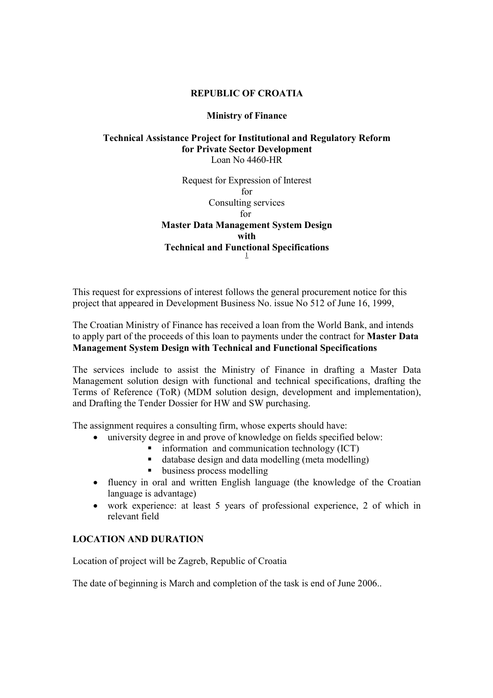## REPUBLIC OF CROATIA

## Ministry of Finance

## Technical Assistance Project for Institutional and Regulatory Reform for Private Sector Development Loan No 4460-HR

Request for Expression of Interest for Consulting services for Master Data Management System Design with Technical and Functional Specifications 1

This request for expressions of interest follows the general procurement notice for this project that appeared in Development Business No. issue No 512 of June 16, 1999,

The Croatian Ministry of Finance has received a loan from the World Bank, and intends to apply part of the proceeds of this loan to payments under the contract for Master Data Management System Design with Technical and Functional Specifications

The services include to assist the Ministry of Finance in drafting a Master Data Management solution design with functional and technical specifications, drafting the Terms of Reference (ToR) (MDM solution design, development and implementation), and Drafting the Tender Dossier for HW and SW purchasing.

The assignment requires a consulting firm, whose experts should have:

- university degree in and prove of knowledge on fields specified below:
	- information and communication technology (ICT)
	- database design and data modelling (meta modelling)
	- **•** business process modelling
- fluency in oral and written English language (the knowledge of the Croatian language is advantage)
- work experience: at least 5 years of professional experience, 2 of which in relevant field

## LOCATION AND DURATION

Location of project will be Zagreb, Republic of Croatia

The date of beginning is March and completion of the task is end of June 2006..